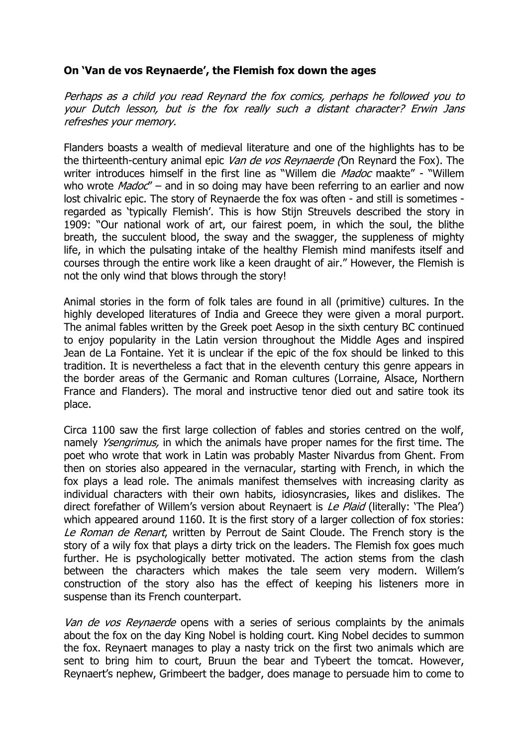## **On 'Van de vos Reynaerde', the Flemish fox down the ages**

Perhaps as a child you read Reynard the fox comics, perhaps he followed you to your Dutch lesson, but is the fox really such a distant character? Erwin Jans refreshes your memory.

Flanders boasts a wealth of medieval literature and one of the highlights has to be the thirteenth-century animal epic Van de vos Reynaerde (On Reynard the Fox). The writer introduces himself in the first line as "Willem die Madoc maakte" - "Willem who wrote  $Madoc''$  – and in so doing may have been referring to an earlier and now lost chivalric epic. The story of Reynaerde the fox was often - and still is sometimes regarded as 'typically Flemish'. This is how Stijn Streuvels described the story in 1909: "Our national work of art, our fairest poem, in which the soul, the blithe breath, the succulent blood, the sway and the swagger, the suppleness of mighty life, in which the pulsating intake of the healthy Flemish mind manifests itself and courses through the entire work like a keen draught of air." However, the Flemish is not the only wind that blows through the story!

Animal stories in the form of folk tales are found in all (primitive) cultures. In the highly developed literatures of India and Greece they were given a moral purport. The animal fables written by the Greek poet Aesop in the sixth century BC continued to enjoy popularity in the Latin version throughout the Middle Ages and inspired Jean de La Fontaine. Yet it is unclear if the epic of the fox should be linked to this tradition. It is nevertheless a fact that in the eleventh century this genre appears in the border areas of the Germanic and Roman cultures (Lorraine, Alsace, Northern France and Flanders). The moral and instructive tenor died out and satire took its place.

Circa [1100](http://nl.wikipedia.org/wiki/1100) saw the first large collection of fables and stories centred on the wolf, namely *Ysengrimus*, in which the animals have proper names for the first time. The poet who wrote that work in [Latin](http://nl.wikipedia.org/wiki/Latijn) was probably [Master Nivardus](http://nl.wikipedia.org/w/index.php?title=Magister_Nivardus&action=edit&redlink=1) from Ghent. From then on stories also appeared in the vernacular, starting with French, in which the fox plays a lead role. The animals manifest themselves with increasing clarity as individual characters with their own habits, idiosyncrasies, likes and dislikes. The direct forefather of Willem's version about Reynaert is Le Plaid (literally: 'The Plea') which appeared around [1160.](http://nl.wikipedia.org/wiki/1160) It is the first story of a larger collection of fox stories: Le Roman de Renart, written by Perrout de Saint Cloude. The French story is the story of a wily fox that plays a dirty trick on the leaders. The Flemish fox goes much further. He is psychologically better motivated. The action stems from the clash between the characters which makes the tale seem very modern. Willem's construction of the story also has the effect of keeping his listeners more in suspense than its French counterpart.

Van de vos Reynaerde opens with a series of serious complaints by the animals about the fox on the day King Nobel is holding court. King Nobel decides to summon the fox. Reynaert manages to play a nasty trick on the first two animals which are sent to bring him to court, Bruun the bear and Tybeert the tomcat. However, Reynaert's nephew, Grimbeert the badger, does manage to persuade him to come to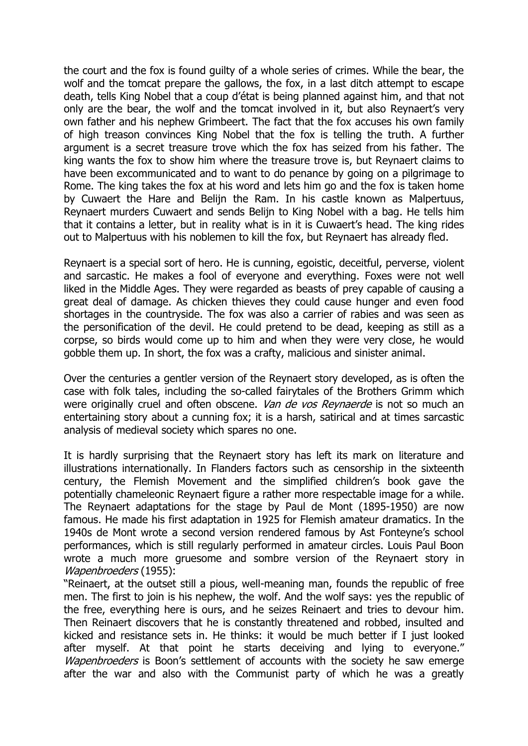the court and the fox is found guilty of a whole series of crimes. While the bear, the wolf and the tomcat prepare the gallows, the fox, in a last ditch attempt to escape death, tells King Nobel that a coup d'état is being planned against him, and that not only are the bear, the wolf and the tomcat involved in it, but also Reynaert's very own father and his nephew Grimbeert. The fact that the fox accuses his own family of high treason convinces King Nobel that the fox is telling the truth. A further argument is a secret treasure trove which the fox has seized from his father. The king wants the fox to show him where the treasure trove is, but Reynaert claims to have been excommunicated and to want to do penance by going on a pilgrimage to Rome. The king takes the fox at his word and lets him go and the fox is taken home by Cuwaert the Hare and Belijn the Ram. In his castle known as Malpertuus, Reynaert murders Cuwaert and sends Belijn to King Nobel with a bag. He tells him that it contains a letter, but in reality what is in it is Cuwaert's head. The king rides out to Malpertuus with his noblemen to kill the fox, but Reynaert has already fled.

Reynaert is a special sort of hero. He is cunning, egoistic, deceitful, perverse, violent and sarcastic. He makes a fool of everyone and everything. Foxes were not well liked in the Middle Ages. They were regarded as beasts of prey capable of causing a great deal of damage. As chicken thieves they could cause hunger and even food shortages in the countryside. The fox was also a carrier of rabies and was seen as the personification of the devil. He could pretend to be dead, keeping as still as a corpse, so birds would come up to him and when they were very close, he would gobble them up. In short, the fox was a crafty, malicious and sinister animal.

Over the centuries a gentler version of the Reynaert story developed, as is often the case with folk tales, including the so-called fairytales of the Brothers Grimm which were originally cruel and often obscene. Van de vos Reynaerde is not so much an entertaining story about a cunning fox; it is a harsh, satirical and at times sarcastic analysis of medieval society which spares no one.

It is hardly surprising that the Reynaert story has left its mark on literature and illustrations internationally. In Flanders factors such as censorship in the sixteenth century, the Flemish Movement and the simplified children's book gave the potentially chameleonic Reynaert figure a rather more respectable image for a while. The Reynaert adaptations for the stage by Paul de Mont (1895-1950) are now famous. He made his first adaptation in 1925 for Flemish amateur dramatics. In the 1940s de Mont wrote a second version rendered famous by Ast Fonteyne's school performances, which is still regularly performed in amateur circles. Louis Paul Boon wrote a much more gruesome and sombre version of the Reynaert story in Wapenbroeders (1955):

"Reinaert, at the outset still a pious, well-meaning man, founds the republic of free men. The first to join is his nephew, the wolf. And the wolf says: yes the republic of the free, everything here is ours, and he seizes Reinaert and tries to devour him. Then Reinaert discovers that he is constantly threatened and robbed, insulted and kicked and resistance sets in. He thinks: it would be much better if I just looked after myself. At that point he starts deceiving and lying to everyone." Wapenbroeders is Boon's settlement of accounts with the society he saw emerge after the war and also with the Communist party of which he was a greatly